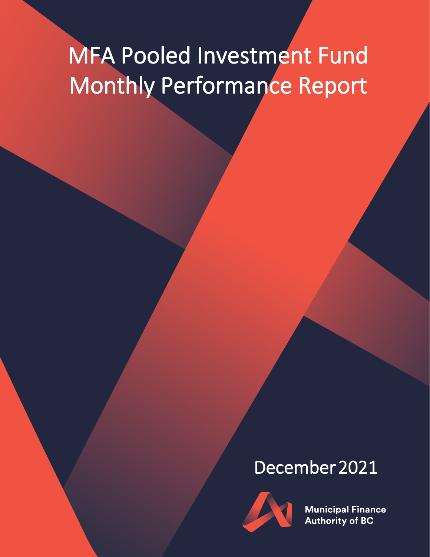# MFA Pooled Investment Fund Monthly Performance Report

## December 2021



**Municipal Finance Authority of BC**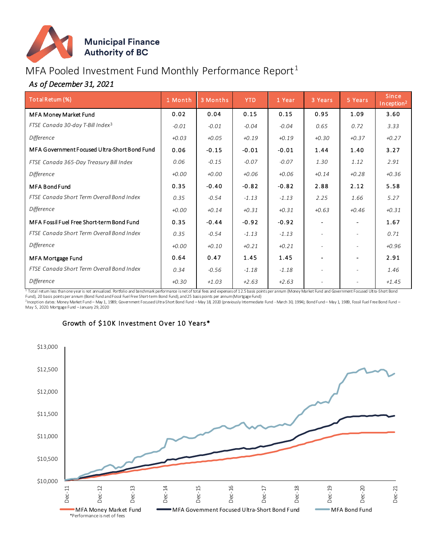

### MFA Pooled Investment Fund Monthly Performance Report<sup>1</sup>

#### *As of December 31, 2021*

| Total Retum (%)                              | 1 Month | 3 Months | <b>YTD</b> | 1 Year  | 3 Years                  | 5 Years                  | <b>Since</b><br>Inception <sup>2</sup> |
|----------------------------------------------|---------|----------|------------|---------|--------------------------|--------------------------|----------------------------------------|
| MFA Money Market Fund                        | 0.02    | 0.04     | 0.15       | 0.15    | 0.95                     | 1.09                     | 3.60                                   |
| FTSE Canada 30-day T-Bill Index <sup>3</sup> | $-0.01$ | $-0.01$  | $-0.04$    | $-0.04$ | 0.65                     | 0.72                     | 3.33                                   |
| Difference                                   | $+0.03$ | $+0.05$  | $+0.19$    | $+0.19$ | $+0.30$                  | $+0.37$                  | $+0.27$                                |
| MFA Government Focused Ultra-Short Bond Fund | 0.06    | $-0.15$  | $-0.01$    | $-0.01$ | 1.44                     | 1.40                     | 3.27                                   |
| FTSE Canada 365-Day Treasury Bill Index      | 0.06    | $-0.15$  | $-0.07$    | $-0.07$ | 1.30                     | 1.12                     | 2.91                                   |
| Difference                                   | $+0.00$ | $+0.00$  | $+0.06$    | $+0.06$ | $+0.14$                  | $+0.28$                  | $+0.36$                                |
| <b>MFA Bond Fund</b>                         | 0.35    | $-0.40$  | $-0.82$    | $-0.82$ | 2.88                     | 2.12                     | 5.58                                   |
| FTSE Canada Short Term Overall Bond Index    | 0.35    | $-0.54$  | $-1.13$    | $-1.13$ | 2.25                     | 1.66                     | 5.27                                   |
| Difference                                   | $+0.00$ | $+0.14$  | $+0.31$    | $+0.31$ | $+0.63$                  | $+0.46$                  | $+0.31$                                |
| MFA Fossil Fuel Free Short-term Bond Fund    | 0.35    | $-0.44$  | $-0.92$    | $-0.92$ |                          |                          | 1.67                                   |
| FTSE Canada Short Term Overall Bond Index    | 0.35    | $-0.54$  | $-1.13$    | $-1.13$ | $\overline{\phantom{a}}$ | $\overline{\phantom{a}}$ | 0.71                                   |
| Difference                                   | $+0.00$ | $+0.10$  | $+0.21$    | $+0.21$ |                          |                          | $+0.96$                                |
| MFA Mortgage Fund                            | 0.64    | 0.47     | 1.45       | 1.45    |                          | $\blacksquare$           | 2.91                                   |
| FTSE Canada Short Term Overall Bond Index    | 0.34    | $-0.56$  | $-1.18$    | $-1.18$ |                          |                          | 1.46                                   |
| <b>Difference</b>                            | $+0.30$ | $+1.03$  | $+2.63$    | $+2.63$ | $\overline{\phantom{a}}$ |                          | $+1.45$                                |

1 Total return less than one year is not annualized. Portfolio and benchmark performance is net of total fees and expenses of 12.5 basis points per annum (Money Market Fund and Government Focused Ultra-Short Bond

Fund), 20 basis pointsper annum (Bond Fund and Fossil Fuel Free Short-term Bond Fund), and 25 basis points per annum (Mortgage Fund)<br><sup>2</sup>Inception dates: Money Market Fund – May 1, 1989; Government Focused Ultra-Short Bond



#### Growth of \$10K Investment Over 10 Years\*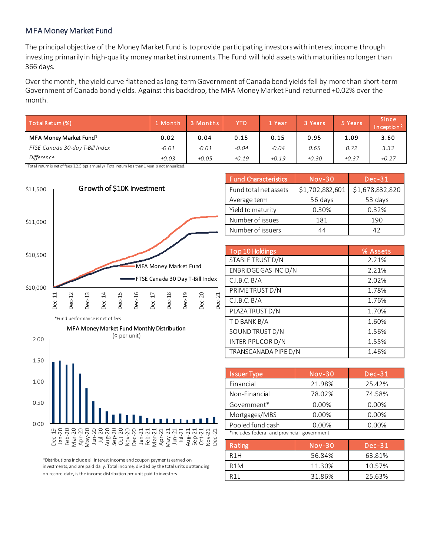#### MFA Money Market Fund

The principal objective of the Money Market Fund is to provide participating investors with interest income through investing primarily in high-quality money market instruments. The Fund will hold assets with maturities no longer than 366 days.

Over the month, the yield curve flattened as long-termGovernment of Canada bond yields fell by more than short-term Government of Canada bond yields. Against this backdrop, the MFA Money Market Fund returned +0.02% over the month.

| Total Return (%)                   | 1 Month | 3 Months | YTD     | 4 Year  | 3 Years | 5 Years | <b>Since</b><br>In ception $2$ |
|------------------------------------|---------|----------|---------|---------|---------|---------|--------------------------------|
| MFA Money Market Fund <sup>1</sup> | 0.02    | 0.04     | 0.15    | 0.15    | 0.95    | 1.09    | 3.60                           |
| FTSE Canada 30-day T-Bill Index    | $-0.01$ | $-0.01$  | $-0.04$ | $-0.04$ | 0.65    | 0.72    | 3.33                           |
| <b>Difference</b>                  | $+0.03$ | $+0.05$  | $+0.19$ | $+0.19$ | $+0.30$ | $+0.37$ | $+0.27$                        |

 $1$ Total return is net of fees (12.5 bps amually). Total retum less than 1 year is not annualized.

\*Fund performance is net of fees

0.00

0.50

1.00

1.50

2.00



MFA Money Market Fund Monthly Distribution (¢ per unit)

| <b>Fund Characteristics</b> | $Nov-30$        | $Dec-31$        |
|-----------------------------|-----------------|-----------------|
| Fund total net assets       | \$1,702,882,601 | \$1,678,832,820 |
| Average term                | 56 days         | 53 days         |
| Yield to maturity           | 0.30%           | 0.32%           |
| Number of issues            | 181             | 190             |
| Number of issuers           | 44              |                 |

| Top 10 Holdings      | % Assets |
|----------------------|----------|
| STABLE TRUST D/N     | 2.21%    |
| ENBRIDGE GAS INC D/N | 2.21%    |
| C.I.B.C.B/A          | 2.02%    |
| PRIME TRUST D/N      | 1.78%    |
| C.I.B.C.B/A          | 1.76%    |
| PLAZA TRUST D/N      | 1.70%    |
| T D BANK B/A         | 1.60%    |
| SOUND TRUST D/N      | 1.56%    |
| INTER PPLCORD/N      | 1.55%    |
| TRANSCANADA PIPE D/N | 1.46%    |

| <b>Issuer Type</b>                          | $Nov-30$ | $Dec-31$ |  |  |
|---------------------------------------------|----------|----------|--|--|
| Financial                                   | 21.98%   | 25.42%   |  |  |
| Non-Financial                               | 78.02%   | 74.58%   |  |  |
| Government*                                 | 0.00%    | 0.00%    |  |  |
| Mortgages/MBS                               | 0.00%    | 0.00%    |  |  |
| Pooled fund cash                            | 0.00%    | $0.00\%$ |  |  |
| *includes federal and provincial government |          |          |  |  |

| Rating           | Nov-30 | $Dec-31$ |
|------------------|--------|----------|
| R <sub>1</sub> H | 56.84% | 63.81%   |
| R <sub>1</sub> M | 11.30% | 10.57%   |
| R 1 I            | 31.86% | 25.63%   |

\*Distributions include all interest income and coupon payments earned on investments, and are paid daily. Total income, divided by the total units outstanding on record date, is the income distribution per unit paid to investors.

Feb-21 Mar-21 Apr-21 May-21 Jun-21 Jul-21<br>ug-21 Aug-21<br>Sep-21 خ<br>ج Oct-21 Nov-21 Dec-21

Dec-19 Jan-20 Feb-20 Mar-20 Apr-20 May-20 Jun-20 Jul-20 Aug-20 Sep-20 Oct-20 Nov-20 Dec-20 Jan-21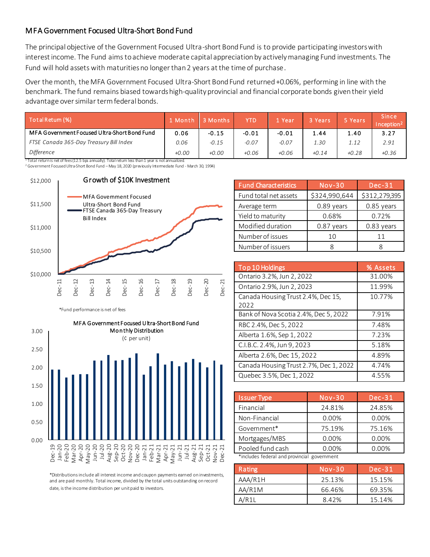#### MFA Government Focused Ultra-Short Bond Fund

The principal objective of the Government Focused Ultra-short Bond Fund is to provide participating investors with interest income. The Fund aims to achieve moderate capital appreciation by actively managing Fund investments. The Fund will hold assets with maturities no longer than 2 years at the time of purchase.

Over the month, the MFA Government Focused Ultra-Short Bond Fund returned +0.06%, performing in line with the benchmark. The fund remains biased towards high-quality provincial and financial corporate bonds given their yield advantage over similar term federal bonds.

| l Month | 3 Months | <b>YTD</b> | . Year  | 3 Years | 5 Years | <b>Since</b><br>Inception <sup>2</sup> |
|---------|----------|------------|---------|---------|---------|----------------------------------------|
| 0.06    | $-0.15$  | $-0.01$    | $-0.01$ | 1.44    | 1.40    | 3.27                                   |
| 0.06    | $-0.15$  | $-0.07$    | $-0.07$ | 1.30    | 1.12    | 2.91                                   |
| $+0.00$ | $+0.00$  | $+0.06$    | $+0.06$ | $+0.14$ | $+0.28$ | $+0.36$                                |
|         |          |            |         |         |         |                                        |

<sup>2</sup> Government Focused Ultra-Short Bond Fund – May 18, 2020 (previously Intermediate Fund - March 30, 1994)



\*Fund performance is net of fees



\*Distributions include all interest income and coupon payments earned on investments, and are paid monthly. Total income, divided by the total units outstanding on record date, is the income distribution per unit paid to investors.

| <b>Fund Characteristics</b> | $Nov-30$      | $Dec-31$      |
|-----------------------------|---------------|---------------|
| Fund total net assets       | \$324,990,644 | \$312,279,395 |
| Average term                | 0.89 years    | 0.85 years    |
| Yield to maturity           | 0.68%         | 0.72%         |
| Modified duration           | $0.87$ years  | 0.83 years    |
| Number of issues            | 10            | 11            |
| Number of issuers           |               |               |

| Top 10 Holdings                            | % Assets |
|--------------------------------------------|----------|
| Ontario 3.2%, Jun 2, 2022                  | 31.00%   |
| Ontario 2.9%, Jun 2, 2023                  | 11.99%   |
| Canada Housing Trust 2.4%, Dec 15,<br>2022 | 10.77%   |
| Bank of Nova Scotia 2.4%, Dec 5, 2022      | 7.91%    |
| RBC 2.4%, Dec 5, 2022                      | 7.48%    |
| Alberta 1.6%, Sep 1, 2022                  | 7.23%    |
| C.I.B.C. 2.4%, Jun 9, 2023                 | 5.18%    |
| Alberta 2.6%, Dec 15, 2022                 | 4.89%    |
| Canada Housing Trust 2.7%, Dec 1, 2022     | 4.74%    |
| Quebec 3.5%, Dec 1, 2022                   | 4.55%    |

| <b>Issuer Type</b>                          | $Nov-30$ | <b>Dec-31</b> |
|---------------------------------------------|----------|---------------|
| Financial                                   | 24.81%   | 24.85%        |
| Non-Financial                               | 0.00%    | 0.00%         |
| Government*                                 | 75.19%   | 75.16%        |
| Mortgages/MBS                               | 0.00%    | 0.00%         |
| Pooled fund cash                            | 0.00%    | 0.00%         |
| *includes federal and provincial government |          |               |

| Rating  | $Nov-30$ | $Dec-31$ |
|---------|----------|----------|
| AAA/R1H | 25.13%   | 15.15%   |
| AA/R1M  | 66.46%   | 69.35%   |
| A/R11   | 8.42%    | 15.14%   |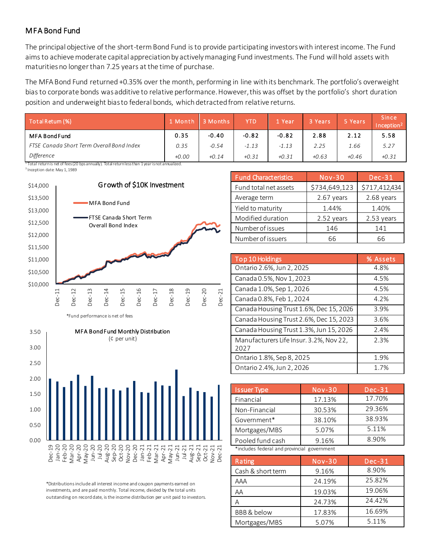#### MFA Bond Fund

The principal objective of the short-term Bond Fund is to provide participating investors with interest income. The Fund aims to achieve moderate capital appreciation by actively managing Fund investments. The Fund will hold assets with maturities no longer than 7.25 years at the time of purchase.

The MFA Bond Fund returned +0.35% over the month, performing in line with its benchmark. The portfolio's overweight bias to corporate bonds was additive to relative performance. However, this was offset by the portfolio's short duration position and underweight bias to federal bonds, which detracted from relative returns.

| Total Retum (%)                           | 1 Month | 3 Months | <b>YTD</b> | 1 Year  | 3 Years | 5 Years | <b>Since</b><br>Inception <sup>2</sup> |
|-------------------------------------------|---------|----------|------------|---------|---------|---------|----------------------------------------|
| <b>MFA Bond Fund</b>                      | 0.35    | $-0.40$  | $-0.82$    | $-0.82$ | 2.88    | 2.12    | 5.58                                   |
| FTSE Canada Short Term Overall Bond Index | 0.35    | $-0.54$  | $-1.13$    | $-1.13$ | 2.25    | 1.66    | 5.27                                   |
| Difference                                | $+0.00$ | $+0.14$  | $+0.31$    | $+0.31$ | $+0.63$ | $+0.46$ | $+0.31$                                |

 $^{\text{1}}$  Total return is net of fees (20 bps annually). Total return less than 1 year is not annualized.

<sup>3</sup> Inception date: May 1, 1989



|  |  | *Fund performance is net of fees |  |  |
|--|--|----------------------------------|--|--|
|--|--|----------------------------------|--|--|



\*Distributions include all interest income and coupon payments earned on investments, and are paid monthly. Total income, divided by the total units outstanding on record date, is the income distribution per unit paid to investors.

| <b>Fund Characteristics</b> | <b>Nov-30</b> | $Dec-31$      |
|-----------------------------|---------------|---------------|
| Fund total net assets       | \$734,649,123 | \$717,412,434 |
| Average term                | 2.67 years    | 2.68 years    |
| Yield to maturity           | 1.44%         | 1.40%         |
| Modified duration           | 2.52 years    | 2.53 years    |
| Number of issues            | 146           | 141           |
| Number of issuers           | 66            | 66            |

| Top 10 Holdings                                 | % Assets |
|-------------------------------------------------|----------|
| Ontario 2.6%, Jun 2, 2025                       | 4.8%     |
| Canada 0.5%, Nov 1, 2023                        | 4.5%     |
| Canada 1.0%, Sep 1, 2026                        | 4.5%     |
| Canada 0.8%, Feb 1, 2024                        | 4.2%     |
| Canada Housing Trust 1.6%, Dec 15, 2026         | 3.9%     |
| Canada Housing Trust 2.6%, Dec 15, 2023         | 3.6%     |
| Canada Housing Trust 1.3%, Jun 15, 2026         | 2.4%     |
| Manufacturers Life Insur. 3.2%, Nov 22,<br>2027 | 2.3%     |
| Ontario 1.8%, Sep 8, 2025                       | 1.9%     |
| Ontario 2.4%, Jun 2, 2026                       | 1.7%     |

| <b>Issuer Type</b>                          | $Nov-30$ | $Dec-31$ |  |  |  |
|---------------------------------------------|----------|----------|--|--|--|
| Financial                                   | 17.13%   | 17.70%   |  |  |  |
| Non-Financial                               | 30.53%   | 29.36%   |  |  |  |
| Government*                                 | 38.10%   | 38.93%   |  |  |  |
| Mortgages/MBS                               | 5.07%    | 5.11%    |  |  |  |
| Pooled fund cash                            | 9.16%    | 8.90%    |  |  |  |
| *includes federal and provincial government |          |          |  |  |  |

| Rating                 | $Nov-30$ | $Dec-31$ |
|------------------------|----------|----------|
| Cash & short term      | 9.16%    | 8.90%    |
| AAA                    | 24.19%   | 25.82%   |
| AΑ                     | 19.03%   | 19.06%   |
|                        | 24.73%   | 24.42%   |
| <b>BBB &amp; below</b> | 17.83%   | 16.69%   |
| Mortgages/MBS          | 5.07%    | 5.11%    |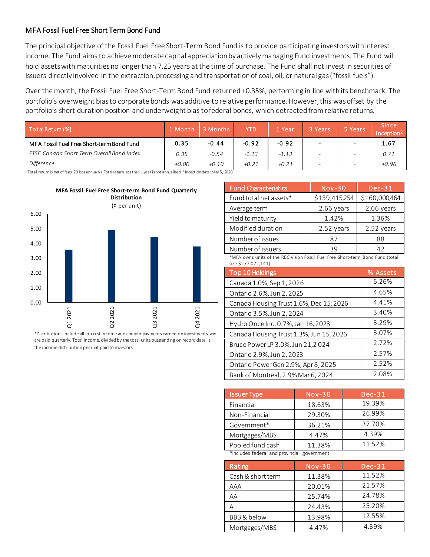#### MFA Fossil Fuel Free Short Term Bond Fund

The principal objective of the Fossil Fuel Free Short-Term Bond Fund is to provide participating investors with interest income. The Fund aims to achieve moderate capital appreciation by actively managing Fund investments. The Fund will hold assets with maturities no longer than 7.25 years at the time of purchase. The Fund shall not invest in securities of Issuers directly involved in the extraction, processing and transportation of coal, oil, or natural gas ("fossil fuels").

Over the month, the Fossil Fuel Free Short-Term Bond Fund returned +0.35%, performing in line with its benchmark. The portfolio's overweight bias to corporate bonds was additive to relative performance. However, this was offset by the portfolio's short duration position and underweight bias to federal bonds, which detracted from relative returns.

| Total Retum (%)                           | $\sqrt{1}$ Month | 3 Months | <b>YTD</b> | Year    | 3 Years | 5 Years                  | <b>Since</b><br>Inception <sup>2</sup> |
|-------------------------------------------|------------------|----------|------------|---------|---------|--------------------------|----------------------------------------|
| MFA Fossil Fuel Free Short-term Bond Fund | 0.35             | $-0.44$  | $-0.92$    | $-0.92$ |         |                          | 1.67                                   |
| FTSE Canada Short Term Overall Bond Index | 0.35             | $-0.54$  | $-1.13$    | $-1.13$ |         |                          | 0.71                                   |
| Difference                                | $+0.00$          | $+0.10$  | $+0.21$    | $+0.21$ |         | $\overline{\phantom{0}}$ | $+0.96$                                |

<sup>1</sup> Total return is net of fees (20 bps annually). Total return less than 1 year is not annualized. <sup>2</sup> Inception date: May 5, 2020



\*Distributions include all interest income and coupon payments earned on investments, and are paid quarterly. Total income, divided by the total units outstanding on record date, is the income distribution per unit paid to investors.

| <b>Fund Characteristics</b> | $Nov-30$      | $Dec-31$      |
|-----------------------------|---------------|---------------|
| Fund total net assets*      | \$159,415,254 | \$160,000,464 |
| Average term                | $2.66$ years  | $2.66$ years  |
| Yield to maturity           | 1.42%         | 1.36%         |
| Modified duration           | 2.52 years    | 2.52 years    |
| Number of issues            | 87            | 88            |
| Number of issuers           | 39            | 47            |

\*MFA owns units of the RBC Vision Fossil Fuel Free Short-term Bond Fund (total size \$277,072,141)

| Top 10 Holdings                         | % Assets |
|-----------------------------------------|----------|
| Canada 1.0%, Sep 1, 2026                | 5.26%    |
| Ontario 2.6%, Jun 2, 2025               | 4.65%    |
| Canada Housing Trust 1.6%, Dec 15, 2026 | 4.41%    |
| Ontario 3.5%, Jun 2, 2024               | 3.40%    |
| Hydro Once Inc. 0.7%, Jan 16, 2023      | 3.29%    |
| Canada Housing Trust 1.3%, Jun 15, 2026 | 3.07%    |
| Bruce Power LP 3.0%, Jun 21,2024        | 2.72%    |
| Ontario 2.9%, Jun 2, 2023               | 2.57%    |
| Ontario Power Gen 2.9%, Apr 8, 2025     | 2.52%    |
| Bank of Montreal, 2.9% Mar 6, 2024      | 2.08%    |

| <b>Issuer Type</b>                          | $Nov-30$ | $Dec-31$ |  |  |  |  |
|---------------------------------------------|----------|----------|--|--|--|--|
| Financial                                   | 18.63%   | 19.39%   |  |  |  |  |
| Non-Financial                               | 29.30%   | 26.99%   |  |  |  |  |
| Government*                                 | 36.21%   | 37.70%   |  |  |  |  |
| Mortgages/MBS                               | 4.47%    | 4.39%    |  |  |  |  |
| Pooled fund cash                            | 11.38%   | 11.52%   |  |  |  |  |
| *includes federal and provincial government |          |          |  |  |  |  |

Rating Nov-30 Dec-31 Cash & short term 11.38% 11.52% AAA 20.01% 21.57% AA 25.74% 24.78% A 24.43% 25.20% BBB & below 13.98% 12.55% Mortgages/MBS 4.47% 4.39%